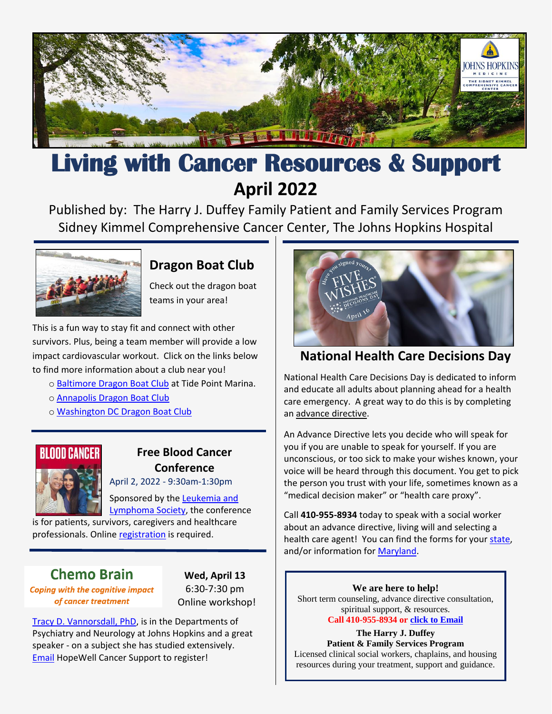

# **Living with Cancer Resources & Support April 2022**

Published by: [The Harry J. Duffey Family Patient and Family Services Program](https://www.hopkinsmedicine.org/kimmel_cancer_center/patient_and_family_services/) Sidney Kimmel Comprehensive Cancer Center, The Johns Hopkins Hospital



# **Dragon Boat Club**

Check out the dragon boat teams in your area!

This is a fun way to stay fit and connect with other survivors. Plus, being a team member will provide a low impact cardiovascular workout. Click on the links below to find more information about a club near you!

o [Baltimore Dragon Boat Club](http://www.baltimoredragonboatclub.com/) at Tide Point Marina.

- o [Annapolis Dragon Boat Club](https://annapolisdragonboatclub.org/)
- o [Washington DC Dragon Boat Club](https://dcdragonboat.org/)



# **Free Blood Cancer Conference**

April 2, 2022 - 9:30am-1:30pm

Sponsored by the [Leukemia and](https://www.lls.org/) 

[Lymphoma Society,](https://www.lls.org/) the conference is for patients, survivors, caregivers and healthcare professionals. Online [registration](https://na.eventscloud.com/website/34968/) is required.

# **Chemo Brain**

**Coping with the cognitive impact** of cancer treatment

**Wed, April 13** 6:30-7:30 pm Online workshop!

[Tracy D. Vannorsdall, PhD,](https://www.hopkinsmedicine.org/profiles/details/tracy-vannorsdall) is in the Departments of Psychiatry and Neurology at Johns Hopkins and a great speaker - on a subject she has studied extensively. [Email](mailto:rsvp@hopewellcancersupport.org) HopeWell Cancer Support to register!



## **National Health Care Decisions Day**

National Health Care Decisions Day is dedicated to inform and educate all adults about planning ahead for a health care emergency. A great way to do this is by completing an [advance directive.](https://mydirectives.com/en/how-it-works/)

An Advance Directive lets you decide who will speak for you if you are unable to speak for yourself. If you are unconscious, or too sick to make your wishes known, your voice will be heard through this document. You get to pick the person you trust with your life, sometimes known as a "medical decision maker" or "health care proxy".

Call **410-955-8934** today to speak with a social worker about an advance directive, living will and selecting a health care agent! You can find the forms for your [state,](https://www.caringinfo.org/planning/advance-directives/) and/or information for [Maryland.](https://www.marylandattorneygeneral.gov/Pages/HealthPolicy/AdvanceDirectives.aspx)

**We are here to help!** Short term counseling, advance directive consultation, spiritual support, & resources. **Call 410-955-8934 or [click to](mailto:jsulli71@jhmi.edu) Email**

**The Harry J. Duffey Patient & Family Services Program** Licensed clinical social workers, chaplains, and housing resources during your treatment, support and guidance.